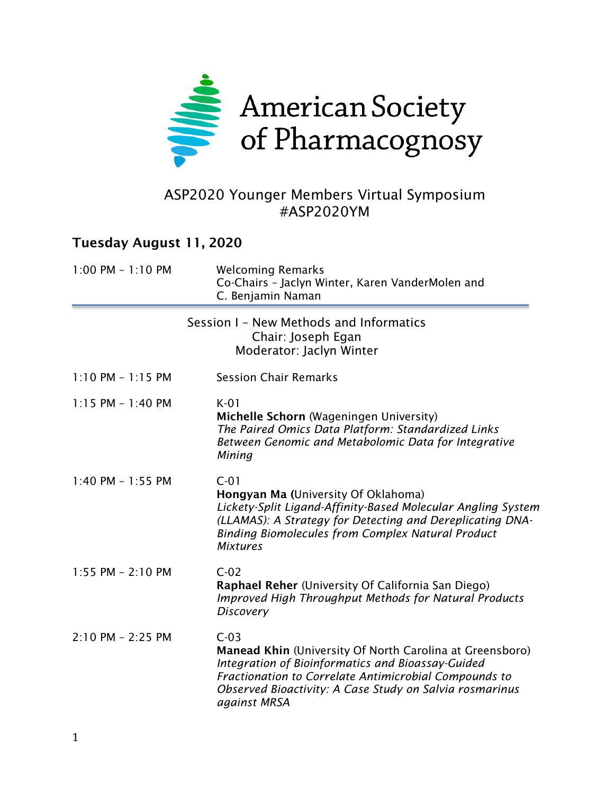

### ASP2020 Younger Members Virtual Symposium #ASP2020YM

#### Tuesday August 11, 2020

| $1:00$ PM $-1:10$ PM  | <b>Welcoming Remarks</b><br>Co-Chairs - Jaclyn Winter, Karen VanderMolen and<br>C. Benjamin Naman                                                                                                                                                           |
|-----------------------|-------------------------------------------------------------------------------------------------------------------------------------------------------------------------------------------------------------------------------------------------------------|
|                       | Session I - New Methods and Informatics<br>Chair: Joseph Egan<br>Moderator: Jaclyn Winter                                                                                                                                                                   |
| $1:10$ PM - $1:15$ PM | <b>Session Chair Remarks</b>                                                                                                                                                                                                                                |
| $1:15$ PM - $1:40$ PM | $K-01$<br>Michelle Schorn (Wageningen University)<br>The Paired Omics Data Platform: Standardized Links<br>Between Genomic and Metabolomic Data for Integrative<br>Mining                                                                                   |
| $1:40$ PM - $1:55$ PM | $C-01$<br>Hongyan Ma (University Of Oklahoma)<br>Lickety-Split Ligand-Affinity-Based Molecular Angling System<br>(LLAMAS): A Strategy for Detecting and Dereplicating DNA-<br><b>Binding Biomolecules from Complex Natural Product</b><br><b>Mixtures</b>   |
| 1:55 PM - 2:10 PM     | $C-02$<br>Raphael Reher (University Of California San Diego)<br><b>Improved High Throughput Methods for Natural Products</b><br><b>Discovery</b>                                                                                                            |
| $2:10$ PM - 2:25 PM   | $C-03$<br>Manead Khin (University Of North Carolina at Greensboro)<br>Integration of Bioinformatics and Bioassay-Guided<br>Fractionation to Correlate Antimicrobial Compounds to<br>Observed Bioactivity: A Case Study on Salvia rosmarinus<br>against MRSA |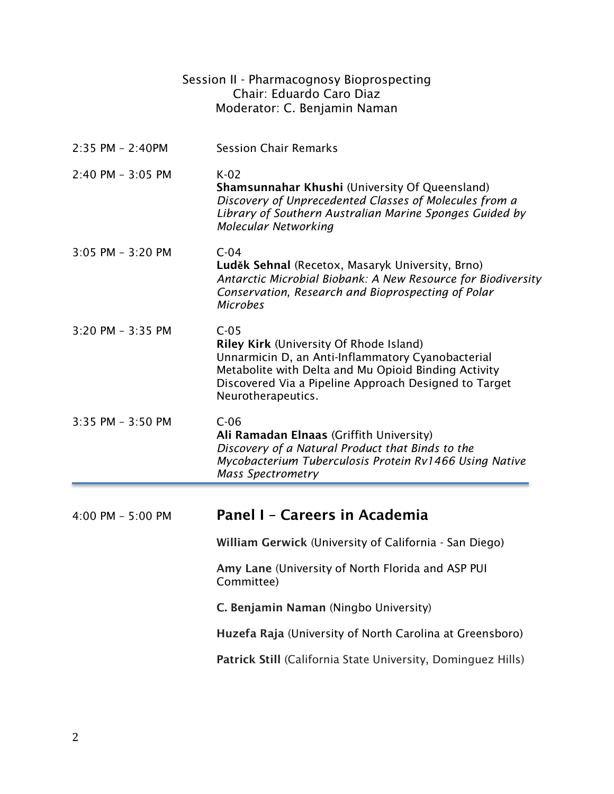|                     | Session II - Pharmacognosy Bioprospecting<br>Chair: Eduardo Caro Diaz<br>Moderator: C. Benjamin Naman                                                                                                                                         |
|---------------------|-----------------------------------------------------------------------------------------------------------------------------------------------------------------------------------------------------------------------------------------------|
| 2:35 PM - 2:40PM    | <b>Session Chair Remarks</b>                                                                                                                                                                                                                  |
| 2:40 PM - 3:05 PM   | $K-02$<br>Shamsunnahar Khushi (University Of Queensland)<br>Discovery of Unprecedented Classes of Molecules from a<br>Library of Southern Australian Marine Sponges Guided by<br>Molecular Networking                                         |
| 3:05 PM - 3:20 PM   | $C-04$<br>Luděk Sehnal (Recetox, Masaryk University, Brno)<br>Antarctic Microbial Biobank: A New Resource for Biodiversity<br>Conservation, Research and Bioprospecting of Polar<br><b>Microbes</b>                                           |
| 3:20 PM - 3:35 PM   | $C-05$<br>Riley Kirk (University Of Rhode Island)<br>Unnarmicin D, an Anti-Inflammatory Cyanobacterial<br>Metabolite with Delta and Mu Opioid Binding Activity<br>Discovered Via a Pipeline Approach Designed to Target<br>Neurotherapeutics. |
| 3:35 PM - 3:50 PM   | $C-06$<br>Ali Ramadan Elnaas (Griffith University)<br>Discovery of a Natural Product that Binds to the<br>Mycobacterium Tuberculosis Protein Rv1466 Using Native<br><b>Mass Spectrometry</b>                                                  |
|                     |                                                                                                                                                                                                                                               |
| $4:00$ PM - 5:00 PM | Panel I - Careers in Academia                                                                                                                                                                                                                 |
|                     | William Gerwick (University of California - San Diego)                                                                                                                                                                                        |
|                     | Amy Lane (University of North Florida and ASP PUI<br>Committee)                                                                                                                                                                               |
|                     | C. Benjamin Naman (Ningbo University)                                                                                                                                                                                                         |
|                     | Huzefa Raja (University of North Carolina at Greensboro)                                                                                                                                                                                      |
|                     | Patrick Still (California State University, Dominguez Hills)                                                                                                                                                                                  |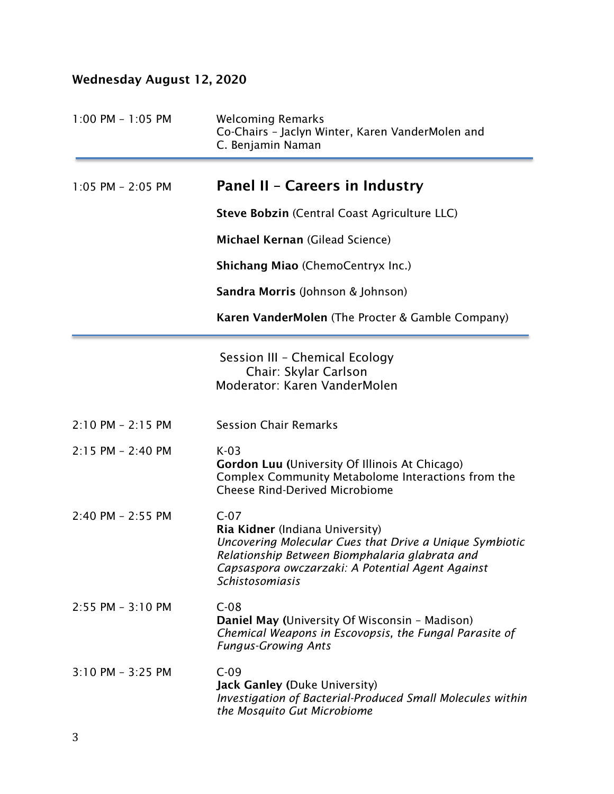# Wednesday August 12, 2020

| $1:00$ PM - $1:05$ PM | <b>Welcoming Remarks</b><br>Co-Chairs - Jaclyn Winter, Karen VanderMolen and<br>C. Benjamin Naman                                                                                                                                    |
|-----------------------|--------------------------------------------------------------------------------------------------------------------------------------------------------------------------------------------------------------------------------------|
| $1:05$ PM - 2:05 PM   | Panel II - Careers in Industry                                                                                                                                                                                                       |
|                       | Steve Bobzin (Central Coast Agriculture LLC)                                                                                                                                                                                         |
|                       | Michael Kernan (Gilead Science)                                                                                                                                                                                                      |
|                       | <b>Shichang Miao (ChemoCentryx Inc.)</b>                                                                                                                                                                                             |
|                       | <b>Sandra Morris</b> (Johnson & Johnson)                                                                                                                                                                                             |
|                       | Karen VanderMolen (The Procter & Gamble Company)                                                                                                                                                                                     |
|                       | Session III - Chemical Ecology<br>Chair: Skylar Carlson<br>Moderator: Karen VanderMolen                                                                                                                                              |
| $2:10$ PM - 2:15 PM   | <b>Session Chair Remarks</b>                                                                                                                                                                                                         |
| $2:15$ PM - 2:40 PM   | $K-03$<br><b>Gordon Luu (University Of Illinois At Chicago)</b><br>Complex Community Metabolome Interactions from the<br><b>Cheese Rind-Derived Microbiome</b>                                                                       |
| $2:40$ PM - $2:55$ PM | $C-07$<br>Ria Kidner (Indiana University)<br>Uncovering Molecular Cues that Drive a Unique Symbiotic<br>Relationship Between Biomphalaria glabrata and<br>Capsaspora owczarzaki: A Potential Agent Against<br><b>Schistosomiasis</b> |
| $2:55$ PM - $3:10$ PM | $C-08$<br>Daniel May (University Of Wisconsin - Madison)<br>Chemical Weapons in Escovopsis, the Fungal Parasite of<br><b>Fungus-Growing Ants</b>                                                                                     |
| 3:10 PM - 3:25 PM     | $C-09$<br><b>Jack Ganley (Duke University)</b><br>Investigation of Bacterial-Produced Small Molecules within<br>the Mosquito Gut Microbiome                                                                                          |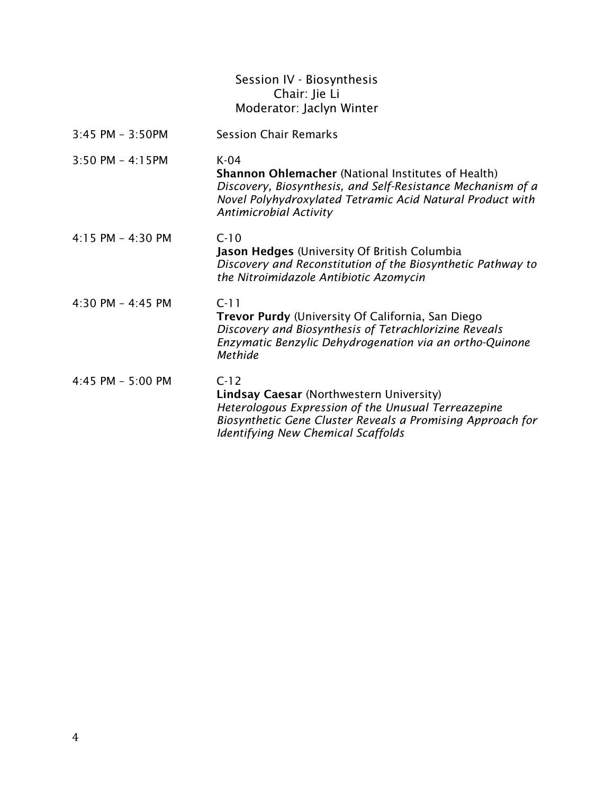|                       | Session IV - Biosynthesis<br>Chair: Jie Li<br>Moderator: Jaclyn Winter                                                                                                                                                           |
|-----------------------|----------------------------------------------------------------------------------------------------------------------------------------------------------------------------------------------------------------------------------|
| $3:45$ PM - $3:50$ PM | <b>Session Chair Remarks</b>                                                                                                                                                                                                     |
| $3:50$ PM - 4:15PM    | $K-04$<br><b>Shannon Ohlemacher (National Institutes of Health)</b><br>Discovery, Biosynthesis, and Self-Resistance Mechanism of a<br>Novel Polyhydroxylated Tetramic Acid Natural Product with<br><b>Antimicrobial Activity</b> |
| $4:15$ PM - $4:30$ PM | $C-10$<br>Jason Hedges (University Of British Columbia<br>Discovery and Reconstitution of the Biosynthetic Pathway to<br>the Nitroimidazole Antibiotic Azomycin                                                                  |
| 4:30 PM - 4:45 PM     | $C-11$<br>Trevor Purdy (University Of California, San Diego<br>Discovery and Biosynthesis of Tetrachlorizine Reveals<br>Enzymatic Benzylic Dehydrogenation via an ortho-Quinone<br>Methide                                       |
| 4:45 PM - 5:00 PM     | $C-12$<br><b>Lindsay Caesar (Northwestern University)</b><br>Heterologous Expression of the Unusual Terreazepine<br>Biosynthetic Gene Cluster Reveals a Promising Approach for<br><b>Identifying New Chemical Scaffolds</b>      |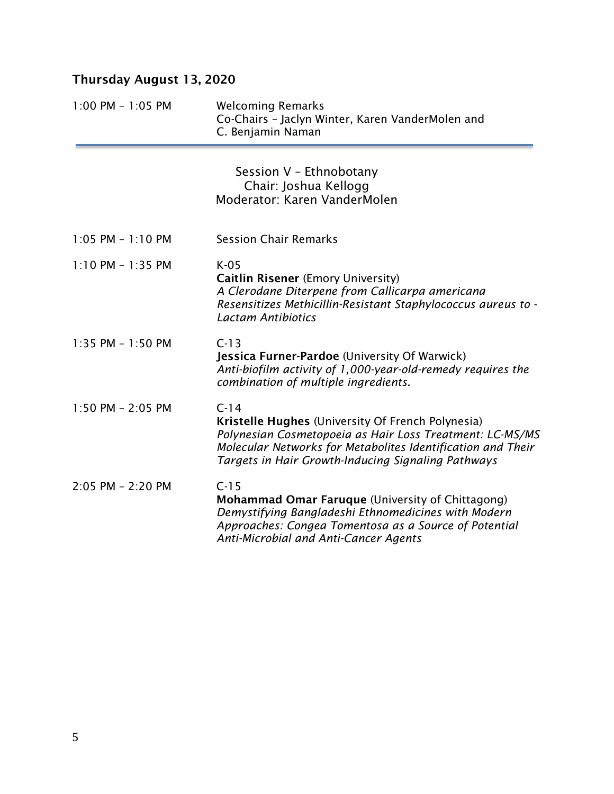# Thursday August 13, 2020

| $1:00$ PM - $1:05$ PM | <b>Welcoming Remarks</b><br>Co-Chairs - Jaclyn Winter, Karen VanderMolen and<br>C. Benjamin Naman                                                                                                                                            |
|-----------------------|----------------------------------------------------------------------------------------------------------------------------------------------------------------------------------------------------------------------------------------------|
|                       | Session V - Ethnobotany<br>Chair: Joshua Kellogg<br>Moderator: Karen VanderMolen                                                                                                                                                             |
| $1:05$ PM - $1:10$ PM | <b>Session Chair Remarks</b>                                                                                                                                                                                                                 |
| $1:10$ PM - $1:35$ PM | $K-05$<br>Caitlin Risener (Emory University)<br>A Clerodane Diterpene from Callicarpa americana<br>Resensitizes Methicillin-Resistant Staphylococcus aureus to -<br><b>Lactam Antibiotics</b>                                                |
| $1:35$ PM - $1:50$ PM | $C-13$<br>Jessica Furner-Pardoe (University Of Warwick)<br>Anti-biofilm activity of 1,000-year-old-remedy requires the<br>combination of multiple ingredients.                                                                               |
| $1:50$ PM - 2:05 PM   | $C-14$<br>Kristelle Hughes (University Of French Polynesia)<br>Polynesian Cosmetopoeia as Hair Loss Treatment: LC-MS/MS<br>Molecular Networks for Metabolites Identification and Their<br>Targets in Hair Growth-Inducing Signaling Pathways |
| $2:05$ PM - $2:20$ PM | $C-15$<br><b>Mohammad Omar Faruque (University of Chittagong)</b><br>Demystifying Bangladeshi Ethnomedicines with Modern<br>Approaches: Congea Tomentosa as a Source of Potential<br>Anti-Microbial and Anti-Cancer Agents                   |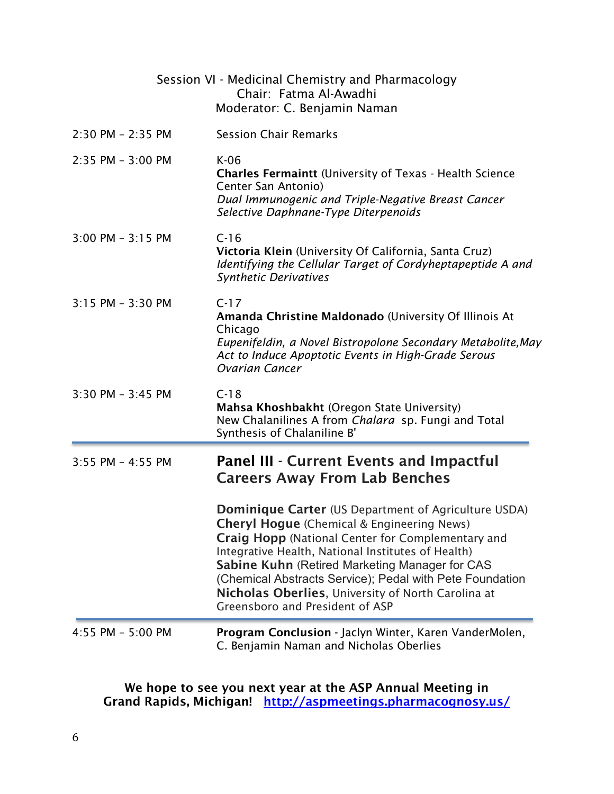|                       | Session VI - Medicinal Chemistry and Pharmacology<br>Chair: Fatma Al-Awadhi<br>Moderator: C. Benjamin Naman                                                                                                                                                                                                                                                                                                                                      |
|-----------------------|--------------------------------------------------------------------------------------------------------------------------------------------------------------------------------------------------------------------------------------------------------------------------------------------------------------------------------------------------------------------------------------------------------------------------------------------------|
| $2:30$ PM - $2:35$ PM | <b>Session Chair Remarks</b>                                                                                                                                                                                                                                                                                                                                                                                                                     |
| 2:35 PM - 3:00 PM     | $K-06$<br><b>Charles Fermaintt</b> (University of Texas - Health Science<br>Center San Antonio)<br>Dual Immunogenic and Triple-Negative Breast Cancer<br>Selective Daphnane-Type Diterpenoids                                                                                                                                                                                                                                                    |
| $3:00$ PM - $3:15$ PM | $C-16$<br>Victoria Klein (University Of California, Santa Cruz)<br>Identifying the Cellular Target of Cordyheptapeptide A and<br><b>Synthetic Derivatives</b>                                                                                                                                                                                                                                                                                    |
| 3:15 PM - 3:30 PM     | $C-17$<br>Amanda Christine Maldonado (University Of Illinois At<br>Chicago<br>Eupenifeldin, a Novel Bistropolone Secondary Metabolite, May<br>Act to Induce Apoptotic Events in High-Grade Serous<br><b>Ovarian Cancer</b>                                                                                                                                                                                                                       |
| $3:30$ PM - $3:45$ PM | $C-18$<br>Mahsa Khoshbakht (Oregon State University)<br>New Chalanilines A from Chalara sp. Fungi and Total<br>Synthesis of Chalaniline B'                                                                                                                                                                                                                                                                                                       |
| 3:55 PM - 4:55 PM     | <b>Panel III - Current Events and Impactful</b><br><b>Careers Away From Lab Benches</b>                                                                                                                                                                                                                                                                                                                                                          |
|                       | <b>Dominique Carter</b> (US Department of Agriculture USDA)<br><b>Cheryl Hogue</b> (Chemical & Engineering News)<br><b>Craig Hopp</b> (National Center for Complementary and<br>Integrative Health, National Institutes of Health)<br><b>Sabine Kuhn</b> (Retired Marketing Manager for CAS<br>(Chemical Abstracts Service); Pedal with Pete Foundation<br>Nicholas Oberlies, University of North Carolina at<br>Greensboro and President of ASP |
| 4:55 PM - 5:00 PM     | Program Conclusion - Jaclyn Winter, Karen VanderMolen,<br>C. Benjamin Naman and Nicholas Oberlies                                                                                                                                                                                                                                                                                                                                                |

We hope to see you next year at the ASP Annual Meeting in Grand Rapids, Michigan! <u><http://aspmeetings.pharmacognosy.us/></u>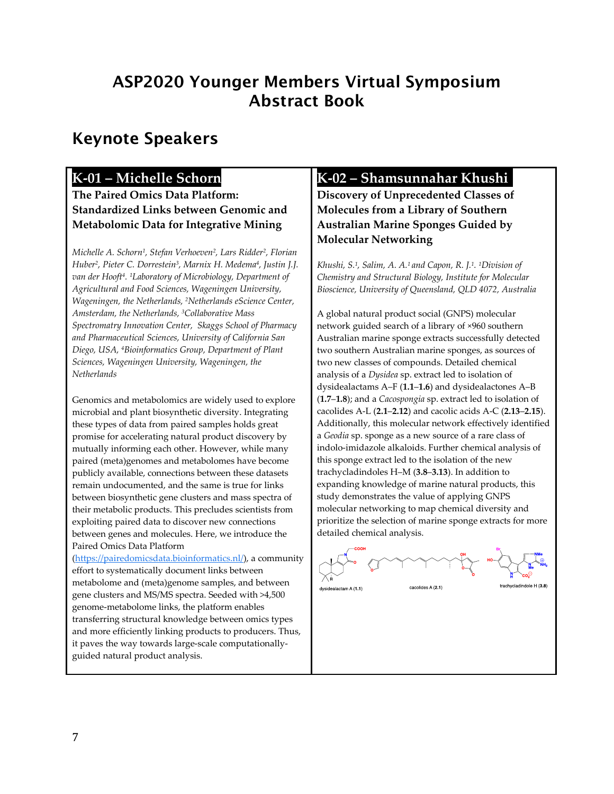# ASP2020 Younger Members Virtual Symposium Abstract Book

# Keynote Speakers

#### **K-01 – Michelle Schorn**

**The Paired Omics Data Platform: Standardized Links between Genomic and Metabolomic Data for Integrative Mining**

*Michelle A. Schorn1, Stefan Verhoeven2, Lars Ridder2, Florian Huber2, Pieter C. Dorrestein3, Marnix H. Medema4, Justin J.J. van der Hooft4. 1Laboratory of Microbiology, Department of Agricultural and Food Sciences, Wageningen University, Wageningen, the Netherlands, 2Netherlands eScience Center, Amsterdam, the Netherlands, 3Collaborative Mass Spectromatry Innovation Center, Skaggs School of Pharmacy and Pharmaceutical Sciences, University of California San Diego, USA, 4Bioinformatics Group, Department of Plant Sciences, Wageningen University, Wageningen, the Netherlands*

Genomics and metabolomics are widely used to explore microbial and plant biosynthetic diversity. Integrating these types of data from paired samples holds great promise for accelerating natural product discovery by mutually informing each other. However, while many paired (meta)genomes and metabolomes have become publicly available, connections between these datasets remain undocumented, and the same is true for links between biosynthetic gene clusters and mass spectra of their metabolic products. This precludes scientists from exploiting paired data to discover new connections between genes and molecules. Here, we introduce the Paired Omics Data Platform

[\(https://pairedomicsdata.bioinformatics.nl/\)](https://pairedomicsdata.bioinformatics.nl/), a community effort to systematically document links between metabolome and (meta)genome samples, and between gene clusters and MS/MS spectra. Seeded with >4,500 genome-metabolome links, the platform enables transferring structural knowledge between omics types and more efficiently linking products to producers. Thus, it paves the way towards large-scale computationallyguided natural product analysis.

#### **K-02 – Shamsunnahar Khushii**

**Discovery of Unprecedented Classes of Molecules from a Library of Southern Australian Marine Sponges Guided by Molecular Networking**

*Khushi, S.1, Salim, A. A.1 and Capon, R. J.1. 1Division of Chemistry and Structural Biology, Institute for Molecular Bioscience, University of Queensland, QLD 4072, Australia*

A global natural product social (GNPS) molecular network guided search of a library of ×960 southern Australian marine sponge extracts successfully detected two southern Australian marine sponges, as sources of two new classes of compounds. Detailed chemical analysis of a *Dysidea* sp. extract led to isolation of dysidealactams A–F (**1.1**–**1.6**) and dysidealactones A–B (**1.7**–**1.8**); and a *Cacospongia* sp. extract led to isolation of cacolides A-L (**2.1**–**2.12**) and cacolic acids A-C (**2.13**–**2.15**). Additionally, this molecular network effectively identified a *Geodia* sp. sponge as a new source of a rare class of indolo-imidazole alkaloids. Further chemical analysis of this sponge extract led to the isolation of the new trachycladindoles H–M (**3.8**–**3.13**). In addition to expanding knowledge of marine natural products, this study demonstrates the value of applying GNPS molecular networking to map chemical diversity and prioritize the selection of marine sponge extracts for more detailed chemical analysis.

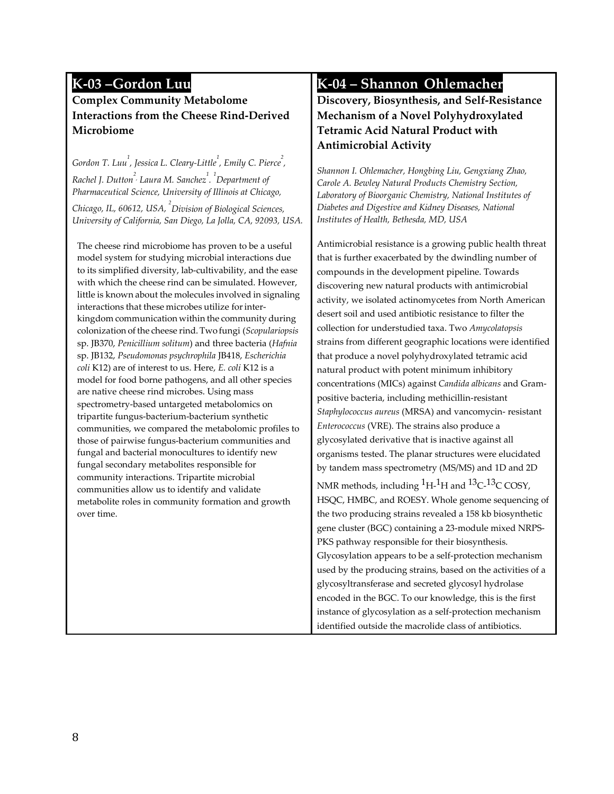#### **K-03 –Gordon Luu**

#### **Complex Community Metabolome Interactions from the Cheese Rind-Derived Microbiome**

*Gordon T. Luu<sup>1</sup> , Jessica L. Cleary-Little1 , Emily C. Pierce2 ,*   $Rachel$  J. Dutton<sup>2</sup>, Laura M. Sanchez<sup>1</sup>. <sup>1</sup> Department of *Pharmaceutical Science, University of Illinois at Chicago,* 

*Chicago, IL, 60612, USA, <sup>2</sup> Division of Biological Sciences, University of California, San Diego, La Jolla, CA, 92093, USA.*

The cheese rind microbiome has proven to be a useful model system for studying microbial interactions due to its simplified diversity, lab-cultivability, and the ease with which the cheese rind can be simulated. However, little is known about the molecules involved in signaling interactions that these microbes utilize for interkingdom communication within the community during colonization ofthe cheese rind.Two fungi (*Scopulariopsis*  sp. JB370, *Penicillium solitum*) and three bacteria (*Hafnia*  sp. JB132, *Pseudomonas psychrophila* JB418, *Escherichia coli* K12) are of interest to us. Here, *E. coli* K12 is a model for food borne pathogens, and all other species are native cheese rind microbes. Using mass spectrometry-based untargeted metabolomics on tripartite fungus-bacterium-bacterium synthetic communities, we compared the metabolomic profiles to those of pairwise fungus-bacterium communities and fungal and bacterial monocultures to identify new fungal secondary metabolites responsible for community interactions. Tripartite microbial communities allow us to identify and validate metabolite roles in community formation and growth over time.

# **K-04 – Shannon Ohlemacher**

**Discovery, Biosynthesis, and Self-Resistance Mechanism of a Novel Polyhydroxylated Tetramic Acid Natural Product with Antimicrobial Activity**

*Shannon I. Ohlemacher, Hongbing Liu, Gengxiang Zhao, Carole A. Bewley Natural Products Chemistry Section, Laboratory of Bioorganic Chemistry, National Institutes of Diabetes and Digestive and Kidney Diseases, National Institutes of Health, Bethesda, MD, USA*

Antimicrobial resistance is a growing public health threat that is further exacerbated by the dwindling number of compounds in the development pipeline. Towards discovering new natural products with antimicrobial activity, we isolated actinomycetes from North American desert soil and used antibiotic resistance to filter the collection for understudied taxa. Two *Amycolatopsis*  strains from different geographic locations were identified that produce a novel polyhydroxylated tetramic acid natural product with potent minimum inhibitory concentrations (MICs) against *Candida albicans* and Grampositive bacteria, including methicillin-resistant *Staphylococcus aureus* (MRSA) and vancomycin- resistant *Enterococcus* (VRE). The strains also produce a glycosylated derivative that is inactive against all organisms tested. The planar structures were elucidated by tandem mass spectrometry (MS/MS) and 1D and 2D NMR methods, including  ${}^{1}H$ - ${}^{1}H$  and  ${}^{13}C$ - ${}^{13}C$  COSY, HSQC, HMBC, and ROESY. Whole genome sequencing of the two producing strains revealed a 158 kb biosynthetic gene cluster (BGC) containing a 23-module mixed NRPS-PKS pathway responsible for their biosynthesis. Glycosylation appears to be a self-protection mechanism

used by the producing strains, based on the activities of a glycosyltransferase and secreted glycosyl hydrolase encoded in the BGC. To our knowledge, this is the first instance of glycosylation as a self-protection mechanism identified outside the macrolide class of antibiotics.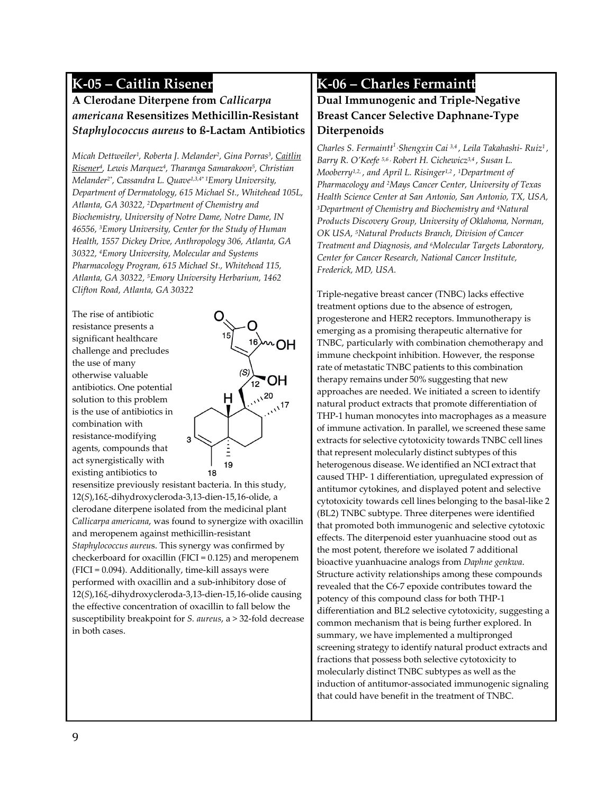### **K-05 – Caitlin Risener**

#### **A Clerodane Diterpene from** *Callicarpa americana* **Resensitizes Methicillin-Resistant**  *Staphylococcus aureus* **to ß-Lactam Antibiotics**

*Micah Dettweiler1, Roberta J. Melander2, Gina Porras3, Caitlin Risener4, Lewis Marquez4, Tharanga Samarakoon5, Christian Melander2\*, Cassandra L. Quave1,3,4\* 1Emory University, Department of Dermatology, 615 Michael St., Whitehead 105L, Atlanta, GA 30322, 2Department of Chemistry and Biochemistry, University of Notre Dame, Notre Dame, IN 46556, 3Emory University, Center for the Study of Human Health, 1557 Dickey Drive, Anthropology 306, Atlanta, GA 30322, 4Emory University, Molecular and Systems Pharmacology Program, 615 Michael St., Whitehead 115, Atlanta, GA 30322, 5Emory University Herbarium, 1462 Clifton Road, Atlanta, GA 30322*

The rise of antibiotic resistance presents a significant healthcare challenge and precludes the use of many otherwise valuable antibiotics. One potential solution to this problem is the use of antibiotics in combination with resistance-modifying agents, compounds that act synergistically with existing antibiotics to



resensitize previously resistant bacteria. In this study, 12(*S*),16ξ-dihydroxycleroda-3,13-dien-15,16-olide, a clerodane diterpene isolated from the medicinal plant *Callicarpa americana*, was found to synergize with oxacillin and meropenem against methicillin-resistant *Staphylococcus aureu*s. This synergy was confirmed by checkerboard for oxacillin (FICI = 0.125) and meropenem (FICI = 0.094). Additionally, time-kill assays were performed with oxacillin and a sub-inhibitory dose of 12(*S*),16ξ-dihydroxycleroda-3,13-dien-15,16-olide causing the effective concentration of oxacillin to fall below the susceptibility breakpoint for *S. aureus*, a > 32-fold decrease in both cases.

### **K-06 – Charles Fermaintt**

#### **Dual Immunogenic and Triple-Negative Breast Cancer Selective Daphnane-Type Diterpenoids**

*Charles S. Fermaintt1 , Shengxin Cai 3,4 , Leila Takahashi- Ruiz1 , Barry R. O'Keefe 5,6 , Robert H. Cichewicz3,4 , Susan L. Mooberry1,2, , and April L. Risinger1,2 , 1Department of Pharmacology and 2Mays Cancer Center, University of Texas Health Science Center at San Antonio, San Antonio, TX, USA, 3Department of Chemistry and Biochemistry and 4Natural Products Discovery Group, University of Oklahoma, Norman, OK USA, 5Natural Products Branch, Division of Cancer Treatment and Diagnosis, and 6Molecular Targets Laboratory, Center for Cancer Research, National Cancer Institute, Frederick, MD, USA.*

Triple-negative breast cancer (TNBC) lacks effective treatment options due to the absence of estrogen, progesterone and HER2 receptors. Immunotherapy is emerging as a promising therapeutic alternative for TNBC, particularly with combination chemotherapy and immune checkpoint inhibition. However, the response rate of metastatic TNBC patients to this combination therapy remains under 50% suggesting that new approaches are needed. We initiated a screen to identify natural product extracts that promote differentiation of THP-1 human monocytes into macrophages as a measure of immune activation. In parallel, we screened these same extracts for selective cytotoxicity towards TNBC cell lines that represent molecularly distinct subtypes of this heterogenous disease. We identified an NCI extract that caused THP- 1 differentiation, upregulated expression of antitumor cytokines, and displayed potent and selective cytotoxicity towards cell lines belonging to the basal-like 2 (BL2) TNBC subtype. Three diterpenes were identified that promoted both immunogenic and selective cytotoxic effects. The diterpenoid ester yuanhuacine stood out as the most potent, therefore we isolated 7 additional bioactive yuanhuacine analogs from *Daphne genkwa*. Structure activity relationships among these compounds revealed that the C6-7 epoxide contributes toward the potency of this compound class for both THP-1 differentiation and BL2 selective cytotoxicity, suggesting a common mechanism that is being further explored. In summary, we have implemented a multipronged screening strategy to identify natural product extracts and fractions that possess both selective cytotoxicity to molecularly distinct TNBC subtypes as well as the induction of antitumor-associated immunogenic signaling that could have benefit in the treatment of TNBC.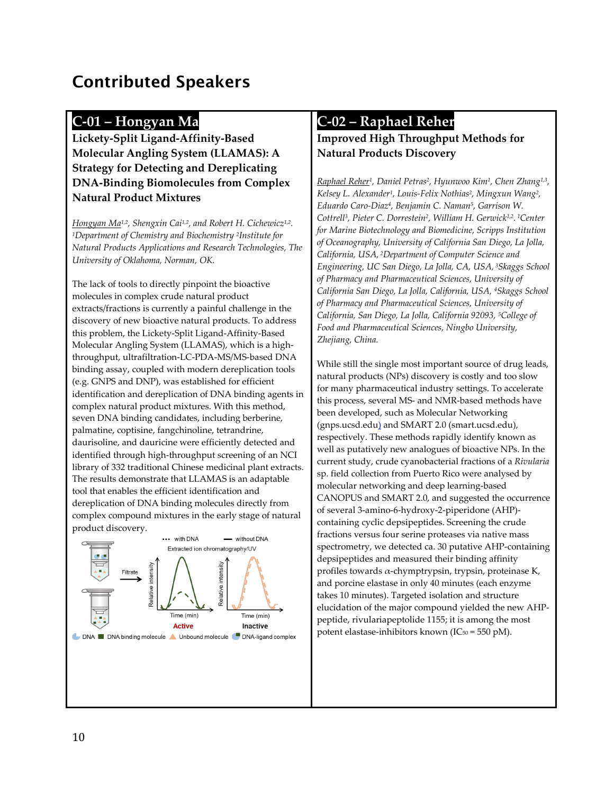# Contributed Speakers

#### **C-01 – Hongyan Ma**

**Lickety-Split Ligand-Affinity-Based Molecular Angling System (LLAMAS): A Strategy for Detecting and Dereplicating DNA-Binding Biomolecules from Complex Natural Product Mixtures**

*Hongyan Ma1,2, Shengxin Cai1,2, and Robert H. Cichewicz1,2. 1Department of Chemistry and Biochemistry 2Institute for Natural Products Applications and Research Technologies, The University of Oklahoma, Norman, OK.* 

The lack of tools to directly pinpoint the bioactive molecules in complex crude natural product extracts/fractions is currently a painful challenge in the discovery of new bioactive natural products. To address this problem, the Lickety-Split Ligand-Affinity-Based Molecular Angling System (LLAMAS), which is a highthroughput, ultrafiltration-LC-PDA-MS/MS-based DNA binding assay, coupled with modern dereplication tools (e.g. GNPS and DNP), was established for efficient identification and dereplication of DNA binding agents in complex natural product mixtures. With this method, seven DNA binding candidates, including berberine, palmatine, coptisine, fangchinoline, tetrandrine, daurisoline, and dauricine were efficiently detected and identified through high-throughput screening of an NCI library of 332 traditional Chinese medicinal plant extracts. The results demonstrate that LLAMAS is an adaptable tool that enables the efficient identification and dereplication of DNA binding molecules directly from complex compound mixtures in the early stage of natural product discovery.



#### **C-02 – Raphael Reher**

#### **Improved High Throughput Methods for Natural Products Discovery**

*Raphael Reher1, Daniel Petras2, Hyunwoo Kim1, Chen Zhang1,3, Kelsey L. Alexander1, Louis-Felix Nothias2, Mingxun Wang2, Eduardo Caro-Diaz4, Benjamin C. Naman5, Garrison W. Cottrell3, Pieter C. Dorrestein2, William H. Gerwick1,2. 1Center for Marine Biotechnology and Biomedicine, Scripps Institution of Oceanography, University of California San Diego, La Jolla, California, USA, 2Department of Computer Science and Engineering, UC San Diego, La Jolla, CA, USA, 3Skaggs School of Pharmacy and Pharmaceutical Sciences, University of California San Diego, La Jolla, California, USA, 4Skaggs School of Pharmacy and Pharmaceutical Sciences, University of California, San Diego, La Jolla, California 92093, 5College of Food and Pharmaceutical Sciences, Ningbo University, Zhejiang, China.*

While still the single most important source of drug leads, natural products (NPs) discovery is costly and too slow for many pharmaceutical industry settings. To accelerate this process, several MS- and NMR-based methods have been developed, such as Molecular Networking (gnps.ucsd.edu) and SMART 2.0 (smart.ucsd.edu), respectively. These methods rapidly identify known as well as putatively new analogues of bioactive NPs. In the current study, crude cyanobacterial fractions of a *Rivularia* sp. field collection from Puerto Rico were analysed by molecular networking and deep learning-based CANOPUS and SMART 2.0, and suggested the occurrence of several 3-amino-6-hydroxy-2-piperidone (AHP) containing cyclic depsipeptides. Screening the crude fractions versus four serine proteases via native mass spectrometry, we detected ca. 30 putative AHP-containing depsipeptides and measured their binding affinity profiles towards α-chymptrypsin, trypsin, proteinase K, and porcine elastase in only 40 minutes (each enzyme takes 10 minutes). Targeted isolation and structure elucidation of the major compound yielded the new AHPpeptide, rivulariapeptolide 1155; it is among the most potent elastase-inhibitors known ( $IC_{50} = 550$  pM).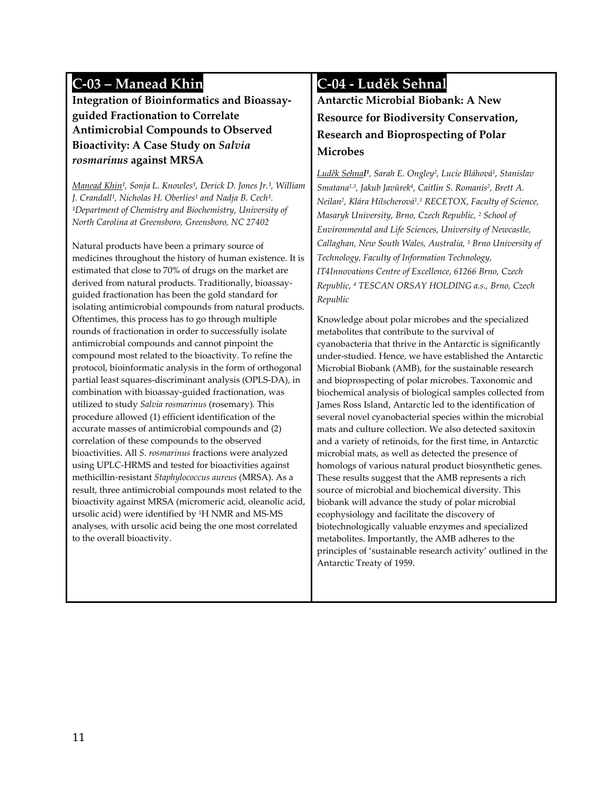## **C-03 – Manead Khin**

**Integration of Bioinformatics and Bioassayguided Fractionation to Correlate Antimicrobial Compounds to Observed Bioactivity: A Case Study on** *Salvia rosmarinus* **against MRSA**

*Manead Khin<sup>1</sup>, Sonja L. Knowles<sup>1</sup>, Derick D. Jones Jr.<sup>1</sup>, William* J. Crandall<sup>1</sup>, Nicholas H. Oberlies<sup>1</sup> and Nadja B. Cech<sup>1</sup>. *¹Department of Chemistry and Biochemistry, University of North Carolina at Greensboro, Greensboro, NC 27402*

Natural products have been a primary source of medicines throughout the history of human existence. It is estimated that close to 70% of drugs on the market are derived from natural products. Traditionally, bioassayguided fractionation has been the gold standard for isolating antimicrobial compounds from natural products. Oftentimes, this process has to go through multiple rounds of fractionation in order to successfully isolate antimicrobial compounds and cannot pinpoint the compound most related to the bioactivity. To refine the protocol, bioinformatic analysis in the form of orthogonal partial least squares-discriminant analysis (OPLS-DA), in combination with bioassay-guided fractionation, was utilized to study *Salvia rosmarinus* (rosemary). This procedure allowed (1) efficient identification of the accurate masses of antimicrobial compounds and (2) correlation of these compounds to the observed bioactivities. All *S. rosmarinus* fractions were analyzed using UPLC-HRMS and tested for bioactivities against methicillin-resistant *Staphylococcus aureus* (MRSA). As a result, three antimicrobial compounds most related to the bioactivity against MRSA (micromeric acid, oleanolic acid, ursolic acid) were identified by 1H NMR and MS-MS analyses, with ursolic acid being the one most correlated to the overall bioactivity.

### **C-04 - Luděk Sehnal**

**Antarctic Microbial Biobank: A New Resource for Biodiversity Conservation, Research and Bioprospecting of Polar Microbes**

*Luděk Sehnal1, Sarah E. Ongley2, Lucie Bláhová1, Stanislav Smatana1,3, Jakub Javůrek4, Caitlin S. Romanis2, Brett A. Neilan2, Klára Hilscherová1. <sup>1</sup> RECETOX, Faculty of Science, Masaryk University, Brno, Czech Republic, 2 School of Environmental and Life Sciences, University of Newcastle, Callaghan, New South Wales, Australia, 3 Brno University of Technology, Faculty of Information Technology, IT4Innovations Centre of Excellence, 61266 Brno, Czech Republic, 4 TESCAN ORSAY HOLDING a.s., Brno, Czech Republic*

Knowledge about polar microbes and the specialized metabolites that contribute to the survival of cyanobacteria that thrive in the Antarctic is significantly under-studied. Hence, we have established the Antarctic Microbial Biobank (AMB), for the sustainable research and bioprospecting of polar microbes. Taxonomic and biochemical analysis of biological samples collected from James Ross Island, Antarctic led to the identification of several novel cyanobacterial species within the microbial mats and culture collection. We also detected saxitoxin and a variety of retinoids, for the first time, in Antarctic microbial mats, as well as detected the presence of homologs of various natural product biosynthetic genes. These results suggest that the AMB represents a rich source of microbial and biochemical diversity. This biobank will advance the study of polar microbial ecophysiology and facilitate the discovery of biotechnologically valuable enzymes and specialized metabolites. Importantly, the AMB adheres to the principles of 'sustainable research activity' outlined in the Antarctic Treaty of 1959.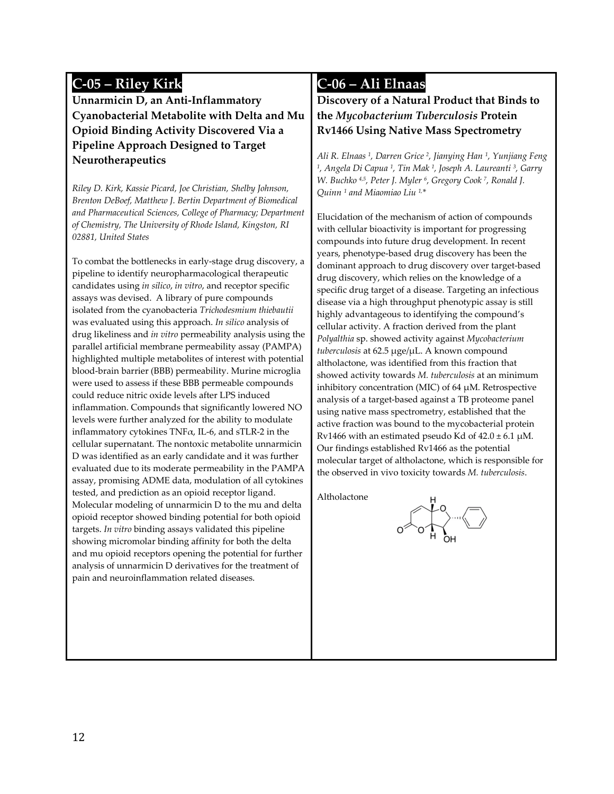## **C-05 – Riley Kirk**

**Unnarmicin D, an Anti-Inflammatory Cyanobacterial Metabolite with Delta and Mu Opioid Binding Activity Discovered Via a Pipeline Approach Designed to Target Neurotherapeutics**

*Riley D. Kirk, Kassie Picard, Joe Christian, Shelby Johnson, Brenton DeBoef, Matthew J. Bertin Department of Biomedical and Pharmaceutical Sciences, College of Pharmacy; Department of Chemistry, The University of Rhode Island, Kingston, RI 02881, United States*

To combat the bottlenecks in early-stage drug discovery, a pipeline to identify neuropharmacological therapeutic candidates using *in silico*, *in vitro*, and receptor specific assays was devised. A library of pure compounds isolated from the cyanobacteria *Trichodesmium thiebautii*  was evaluated using this approach. *In silico* analysis of drug likeliness and *in vitro* permeability analysis using the parallel artificial membrane permeability assay (PAMPA) highlighted multiple metabolites of interest with potential blood-brain barrier (BBB) permeability. Murine microglia were used to assess if these BBB permeable compounds could reduce nitric oxide levels after LPS induced inflammation. Compounds that significantly lowered NO levels were further analyzed for the ability to modulate inflammatory cytokines TNF $\alpha$ , IL-6, and sTLR-2 in the cellular supernatant. The nontoxic metabolite unnarmicin D was identified as an early candidate and it was further evaluated due to its moderate permeability in the PAMPA assay, promising ADME data, modulation of all cytokines tested, and prediction as an opioid receptor ligand. Molecular modeling of unnarmicin D to the mu and delta opioid receptor showed binding potential for both opioid targets. *In vitro* binding assays validated this pipeline showing micromolar binding affinity for both the delta and mu opioid receptors opening the potential for further analysis of unnarmicin D derivatives for the treatment of pain and neuroinflammation related diseases.

### **C-06 – Ali Elnaas**

**Discovery of a Natural Product that Binds to the** *Mycobacterium Tuberculosis* **Protein Rv1466 Using Native Mass Spectrometry**

*Ali R. Elnaas 1, Darren Grice 2, Jianying Han 1, Yunjiang Feng 1, Angela Di Capua 1, Tin Mak 1, Joseph A. Laureanti 3, Garry W. Buchko 4,5, Peter J. Myler 6, Gregory Cook 7, Ronald J. Quinn 1 and Miaomiao Liu 1,\**

Elucidation of the mechanism of action of compounds with cellular bioactivity is important for progressing compounds into future drug development. In recent years, phenotype-based drug discovery has been the dominant approach to drug discovery over target-based drug discovery, which relies on the knowledge of a specific drug target of a disease. Targeting an infectious disease via a high throughput phenotypic assay is still highly advantageous to identifying the compound's cellular activity. A fraction derived from the plant *Polyalthia* sp. showed activity against *Mycobacterium tuberculosis* at 62.5 μge/μL. A known compound altholactone, was identified from this fraction that showed activity towards *M. tuberculosis* at an minimum inhibitory concentration (MIC) of 64 μM. Retrospective analysis of a target-based against a TB proteome panel using native mass spectrometry, established that the active fraction was bound to the mycobacterial protein Rv1466 with an estimated pseudo Kd of  $42.0 \pm 6.1 \mu M$ . Our findings established Rv1466 as the potential molecular target of altholactone, which is responsible for the observed in vivo toxicity towards *M. tuberculosis*.

Altholactone

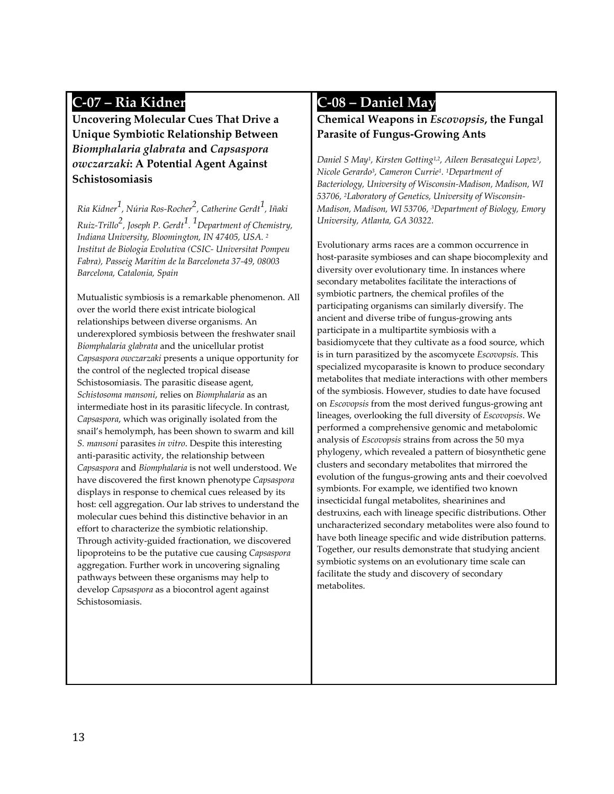### **C-07 – Ria Kidner**

**Uncovering Molecular Cues That Drive a Unique Symbiotic Relationship Between**  *Biomphalaria glabrata* **and** *Capsaspora owczarzaki***: A Potential Agent Against Schistosomiasis**

*Ria Kidner1, Núria Ros-Rocher2, Catherine Gerdt1, Iñaki Ruiz-Trillo2, Joseph P. Gerdt1. 1 Department of Chemistry, Indiana University, Bloomington, IN 47405, USA. 2 Institut de Biologia Evolutiva (CSIC- Universitat Pompeu Fabra), Passeig Marítim de la Barceloneta 37-49, 08003 Barcelona, Catalonia, Spain*

Mutualistic symbiosis is a remarkable phenomenon. All over the world there exist intricate biological relationships between diverse organisms. An underexplored symbiosis between the freshwater snail *Biomphalaria glabrata* and the unicellular protist *Capsaspora owczarzaki* presents a unique opportunity for the control of the neglected tropical disease Schistosomiasis. The parasitic disease agent, *Schistosoma mansoni*, relies on *Biomphalaria* as an intermediate host in its parasitic lifecycle. In contrast, *Capsaspora*, which was originally isolated from the snail's hemolymph, has been shown to swarm and kill *S. mansoni* parasites *in vitro*. Despite this interesting anti-parasitic activity, the relationship between *Capsaspora* and *Biomphalaria* is not well understood. We have discovered the first known phenotype *Capsaspora*  displays in response to chemical cues released by its host: cell aggregation. Our lab strives to understand the molecular cues behind this distinctive behavior in an effort to characterize the symbiotic relationship. Through activity-guided fractionation, we discovered lipoproteins to be the putative cue causing *Capsaspora*  aggregation. Further work in uncovering signaling pathways between these organisms may help to develop *Capsaspora* as a biocontrol agent against Schistosomiasis.

#### **C-08 – Daniel May**

#### **Chemical Weapons in** *Escovopsis***, the Fungal Parasite of Fungus-Growing Ants**

*Daniel S May1, Kirsten Gotting1,2, Aileen Berasategui Lopez3, Nicole Gerardo3, Cameron Currie1. 1Department of Bacteriology, University of Wisconsin-Madison, Madison, WI 53706, 2Laboratory of Genetics, University of Wisconsin-Madison, Madison, WI 53706, 3Department of Biology, Emory University, Atlanta, GA 30322.*

Evolutionary arms races are a common occurrence in host-parasite symbioses and can shape biocomplexity and diversity over evolutionary time. In instances where secondary metabolites facilitate the interactions of symbiotic partners, the chemical profiles of the participating organisms can similarly diversify. The ancient and diverse tribe of fungus-growing ants participate in a multipartite symbiosis with a basidiomycete that they cultivate as a food source, which is in turn parasitized by the ascomycete *Escovopsis*. This specialized mycoparasite is known to produce secondary metabolites that mediate interactions with other members of the symbiosis. However, studies to date have focused on *Escovopsis* from the most derived fungus-growing ant lineages, overlooking the full diversity of *Escovopsis*. We performed a comprehensive genomic and metabolomic analysis of *Escovopsis* strains from across the 50 mya phylogeny, which revealed a pattern of biosynthetic gene clusters and secondary metabolites that mirrored the evolution of the fungus-growing ants and their coevolved symbionts. For example, we identified two known insecticidal fungal metabolites, shearinines and destruxins, each with lineage specific distributions. Other uncharacterized secondary metabolites were also found to have both lineage specific and wide distribution patterns. Together, our results demonstrate that studying ancient symbiotic systems on an evolutionary time scale can facilitate the study and discovery of secondary metabolites.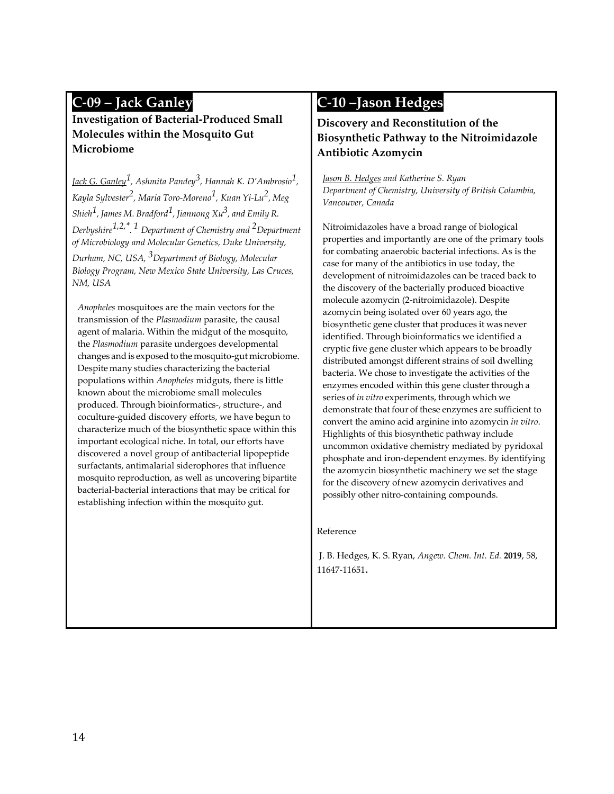### **C-09 – Jack Ganley**

**Investigation of Bacterial-Produced Small Molecules within the Mosquito Gut Microbiome**

*Jack G. Ganley1, Ashmita Pandey3, Hannah K. D'Ambrosio1, Kayla Sylvester2, Maria Toro-Moreno1, Kuan Yi-Lu2, Meg Shieh1, James M. Bradford1, Jiannong Xu3, and Emily R. Derbyshire1,2,\*. <sup>1</sup> Department of Chemistry and 2Department of Microbiology and Molecular Genetics, Duke University, Durham, NC, USA, 3Department of Biology, Molecular* 

*Biology Program, New Mexico State University, Las Cruces, NM, USA*

*Anopheles* mosquitoes are the main vectors for the transmission of the *Plasmodium* parasite, the causal agent of malaria. Within the midgut of the mosquito, the *Plasmodium* parasite undergoes developmental changes and is exposed to the mosquito-gut microbiome. Despite many studies characterizing the bacterial populations within *Anopheles* midguts, there is little known about the microbiome small molecules produced. Through bioinformatics-, structure-, and coculture-guided discovery efforts, we have begun to characterize much of the biosynthetic space within this important ecological niche. In total, our efforts have discovered a novel group of antibacterial lipopeptide surfactants, antimalarial siderophores that influence mosquito reproduction, as well as uncovering bipartite bacterial-bacterial interactions that may be critical for establishing infection within the mosquito gut.

#### **C-10 –Jason Hedges**

#### **Discovery and Reconstitution of the Biosynthetic Pathway to the Nitroimidazole Antibiotic Azomycin**

*Jason B. Hedges and Katherine S. Ryan Department of Chemistry, University of British Columbia, Vancouver, Canada*

Nitroimidazoles have a broad range of biological properties and importantly are one of the primary tools for combating anaerobic bacterial infections. As is the case for many of the antibiotics in use today, the development of nitroimidazoles can be traced back to the discovery of the bacterially produced bioactive molecule azomycin (2-nitroimidazole). Despite azomycin being isolated over 60 years ago, the biosynthetic gene cluster that produces it was never identified. Through bioinformatics we identified a cryptic five gene cluster which appears to be broadly distributed amongst different strains of soil dwelling bacteria. We chose to investigate the activities of the enzymes encoded within this gene cluster through a series of *in vitro* experiments, through which we demonstrate that four of these enzymes are sufficient to convert the amino acid arginine into azomycin *in vitro*. Highlights of this biosynthetic pathway include uncommon oxidative chemistry mediated by pyridoxal phosphate and iron-dependent enzymes. By identifying the azomycin biosynthetic machinery we set the stage for the discovery ofnew azomycin derivatives and possibly other nitro-containing compounds.

#### Reference

J. B. Hedges, K. S. Ryan, *Angew. Chem. Int. Ed.* **2019**, 58, 11647-11651.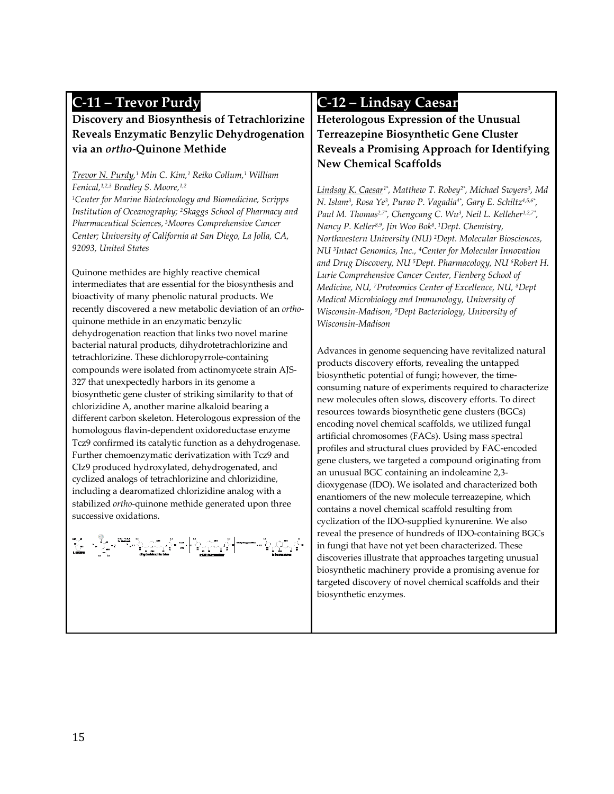### **C-11 – Trevor Purdy**

**Discovery and Biosynthesis of Tetrachlorizine Reveals Enzymatic Benzylic Dehydrogenation via an** *ortho***-Quinone Methide**

*Trevor N. Purdy, <sup>1</sup> Min C. Kim,1 Reiko Collum,1 William Fenical,1,2,3 Bradley S. Moore,1,2 1Center for Marine Biotechnology and Biomedicine, Scripps Institution of Oceanography; 2Skaggs School of Pharmacy and Pharmaceutical Sciences, 3Moores Comprehensive Cancer Center; University of California at San Diego, La Jolla, CA, 92093, United States*

Quinone methides are highly reactive chemical intermediates that are essential for the biosynthesis and bioactivity of many phenolic natural products. We recently discovered a new metabolic deviation of an *ortho*quinone methide in an enzymatic benzylic dehydrogenation reaction that links two novel marine bacterial natural products, dihydrotetrachlorizine and tetrachlorizine. These dichloropyrrole-containing compounds were isolated from actinomycete strain AJS-327 that unexpectedly harbors in its genome a biosynthetic gene cluster of striking similarity to that of chlorizidine A, another marine alkaloid bearing a different carbon skeleton. Heterologous expression of the homologous flavin-dependent oxidoreductase enzyme Tcz9 confirmed its catalytic function as a dehydrogenase. Further chemoenzymatic derivatization with Tcz9 and Clz9 produced hydroxylated, dehydrogenated, and cyclized analogs of tetrachlorizine and chlorizidine, including a dearomatized chlorizidine analog with a stabilized *ortho*-quinone methide generated upon three successive oxidations.

$$
\begin{bmatrix} \frac{1}{\sqrt{2}} & \frac{1}{\sqrt{2}} & \frac{1}{\sqrt{2}} & \frac{1}{\sqrt{2}} & \frac{1}{\sqrt{2}} & \frac{1}{\sqrt{2}} & \frac{1}{\sqrt{2}} & \frac{1}{\sqrt{2}} & \frac{1}{\sqrt{2}} & \frac{1}{\sqrt{2}} & \frac{1}{\sqrt{2}} & \frac{1}{\sqrt{2}} & \frac{1}{\sqrt{2}} & \frac{1}{\sqrt{2}} & \frac{1}{\sqrt{2}} & \frac{1}{\sqrt{2}} & \frac{1}{\sqrt{2}} & \frac{1}{\sqrt{2}} & \frac{1}{\sqrt{2}} & \frac{1}{\sqrt{2}} & \frac{1}{\sqrt{2}} & \frac{1}{\sqrt{2}} & \frac{1}{\sqrt{2}} & \frac{1}{\sqrt{2}} & \frac{1}{\sqrt{2}} & \frac{1}{\sqrt{2}} & \frac{1}{\sqrt{2}} & \frac{1}{\sqrt{2}} & \frac{1}{\sqrt{2}} & \frac{1}{\sqrt{2}} & \frac{1}{\sqrt{2}} & \frac{1}{\sqrt{2}} & \frac{1}{\sqrt{2}} & \frac{1}{\sqrt{2}} & \frac{1}{\sqrt{2}} & \frac{1}{\sqrt{2}} & \frac{1}{\sqrt{2}} & \frac{1}{\sqrt{2}} & \frac{1}{\sqrt{2}} & \frac{1}{\sqrt{2}} & \frac{1}{\sqrt{2}} & \frac{1}{\sqrt{2}} & \frac{1}{\sqrt{2}} & \frac{1}{\sqrt{2}} & \frac{1}{\sqrt{2}} & \frac{1}{\sqrt{2}} & \frac{1}{\sqrt{2}} & \frac{1}{\sqrt{2}} & \frac{1}{\sqrt{2}} & \frac{1}{\sqrt{2}} & \frac{1}{\sqrt{2}} & \frac{1}{\sqrt{2}} & \frac{1}{\sqrt{2}} & \frac{1}{\sqrt{2}} & \frac{1}{\sqrt{2}} & \frac{1}{\sqrt{2}} & \frac{1}{\sqrt{2}} & \frac{1}{\sqrt{2}} & \frac{1}{\sqrt{2}} & \frac{1}{\sqrt{2}} & \frac{1}{\sqrt{2}} & \frac{1}{\sqrt{2}} & \frac{1}{\sqrt{2}} & \frac{1}{\sqrt{2}} & \frac{1}{\sqrt{2}} & \frac{1}{\sqrt{2}} & \frac{1}{\sqrt{2}} & \frac{1}{\sqrt{2}} & \frac{1}{\
$$

#### **C-12 – Lindsay Caesar**

**Heterologous Expression of the Unusual Terreazepine Biosynthetic Gene Cluster Reveals a Promising Approach for Identifying New Chemical Scaffolds**

*Lindsay K. Caesar1\*, Matthew T. Robey2\*, Michael Swyers3, Md N. Islam3, Rosa Ye3, Purav P. Vagadia4\*, Gary E. Schiltz4,5,6\*,* Paul M. Thomas<sup>2,7\*</sup>, Chengcang C. Wu<sup>3</sup>, Neil L. Kelleher<sup>1,2,7\*</sup>, *Nancy P. Keller8,9, Jin Woo Bok8. 1Dept. Chemistry, Northwestern University (NU) 2Dept. Molecular Biosciences, NU 3Intact Genomics, Inc., 4Center for Molecular Innovation and Drug Discovery, NU 5Dept. Pharmacology, NU 6Robert H. Lurie Comprehensive Cancer Center, Fienberg School of Medicine, NU, 7Proteomics Center of Excellence, NU, 8Dept Medical Microbiology and Immunology, University of Wisconsin-Madison, 9Dept Bacteriology, University of Wisconsin-Madison*

Advances in genome sequencing have revitalized natural products discovery efforts, revealing the untapped biosynthetic potential of fungi; however, the timeconsuming nature of experiments required to characterize new molecules often slows, discovery efforts. To direct resources towards biosynthetic gene clusters (BGCs) encoding novel chemical scaffolds, we utilized fungal artificial chromosomes (FACs). Using mass spectral profiles and structural clues provided by FAC-encoded gene clusters, we targeted a compound originating from an unusual BGC containing an indoleamine 2,3 dioxygenase (IDO). We isolated and characterized both enantiomers of the new molecule terreazepine, which contains a novel chemical scaffold resulting from cyclization of the IDO-supplied kynurenine. We also reveal the presence of hundreds of IDO-containing BGCs in fungi that have not yet been characterized. These discoveries illustrate that approaches targeting unusual biosynthetic machinery provide a promising avenue for targeted discovery of novel chemical scaffolds and their biosynthetic enzymes.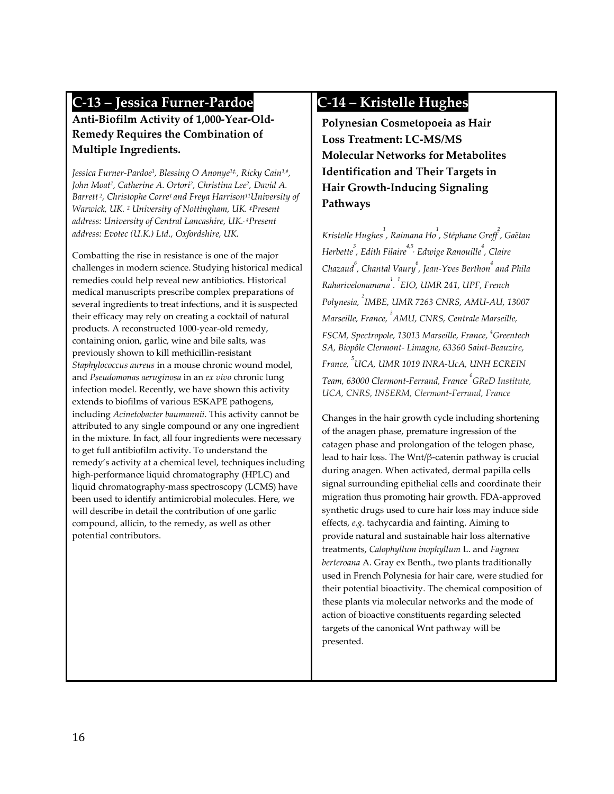### **C-13 – Jessica Furner-Pardoe**

#### **Anti-Biofilm Activity of 1,000-Year-Old-Remedy Requires the Combination of Multiple Ingredients.**

*Jessica Furner-Pardoe1, Blessing O Anonye1‡, , Ricky Cain1,#, John Moat1, Catherine A. Ortori2, Christina Lee2, David A. Barrett 2, Christophe Corre1 and Freya Harrison11University of Warwick, UK. 2 University of Nottingham, UK. ‡Present address: University of Central Lancashire, UK.. #Present address: Evotec (U.K.) Ltd., Oxfordshire, UK.*

Combatting the rise in resistance is one of the major challenges in modern science. Studying historical medical remedies could help reveal new antibiotics. Historical medical manuscripts prescribe complex preparations of several ingredients to treat infections, and it is suspected their efficacy may rely on creating a cocktail of natural products. A reconstructed 1000-year-old remedy, containing onion, garlic, wine and bile salts, was previously shown to kill methicillin-resistant *Staphylococcus aureus* in a mouse chronic wound model, and *Pseudomonas aeruginosa* in an *ex vivo* chronic lung infection model. Recently, we have shown this activity extends to biofilms of various ESKAPE pathogens, including *Acinetobacter baumannii*. This activity cannot be attributed to any single compound or any one ingredient in the mixture. In fact, all four ingredients were necessary to get full antibiofilm activity. To understand the remedy's activity at a chemical level, techniques including high-performance liquid chromatography (HPLC) and liquid chromatography-mass spectroscopy (LCMS) have been used to identify antimicrobial molecules. Here, we will describe in detail the contribution of one garlic compound, allicin, to the remedy, as well as other potential contributors.

### **C-14 – Kristelle Hughes**

**Polynesian Cosmetopoeia as Hair Loss Treatment: LC-MS/MS Molecular Networks for Metabolites Identification and Their Targets in Hair Growth-Inducing Signaling Pathways**

*Kristelle Hughes1 , Raimana Ho1 , Stéphane Greff<sup>2</sup> , Gaëtan Herbette 3 , Edith Filaire4,5, Edwige Ranouille4 , Claire Chazaud<sup>6</sup> , Chantal Vaury<sup>6</sup> , Jean-Yves Berthon<sup>4</sup> and Phila Raharivelomanana1 . 1 EIO, UMR 241, UPF, French Polynesia, <sup>2</sup> IMBE, UMR 7263 CNRS, AMU-AU, 13007 Marseille, France, <sup>3</sup> AMU, CNRS, Centrale Marseille, FSCM, Spectropole, 13013 Marseille, France, <sup>4</sup> Greentech SA, Biopôle Clermont- Limagne, 63360 Saint-Beauzire, France, <sup>5</sup> UCA, UMR 1019 INRA-UcA, UNH ECREIN Team, 63000 Clermont-Ferrand, France <sup>6</sup> GReD Institute, UCA, CNRS, INSERM, Clermont-Ferrand, France*

Changes in the hair growth cycle including shortening of the anagen phase, premature ingression of the catagen phase and prolongation of the telogen phase, lead to hair loss. The Wnt/β-catenin pathway is crucial during anagen. When activated, dermal papilla cells signal surrounding epithelial cells and coordinate their migration thus promoting hair growth. FDA-approved synthetic drugs used to cure hair loss may induce side effects, *e.g.* tachycardia and fainting. Aiming to provide natural and sustainable hair loss alternative treatments, *Calophyllum inophyllum* L. and *Fagraea berteroana* A. Gray ex Benth., two plants traditionally used in French Polynesia for hair care, were studied for their potential bioactivity. The chemical composition of these plants via molecular networks and the mode of action of bioactive constituents regarding selected targets of the canonical Wnt pathway will be presented.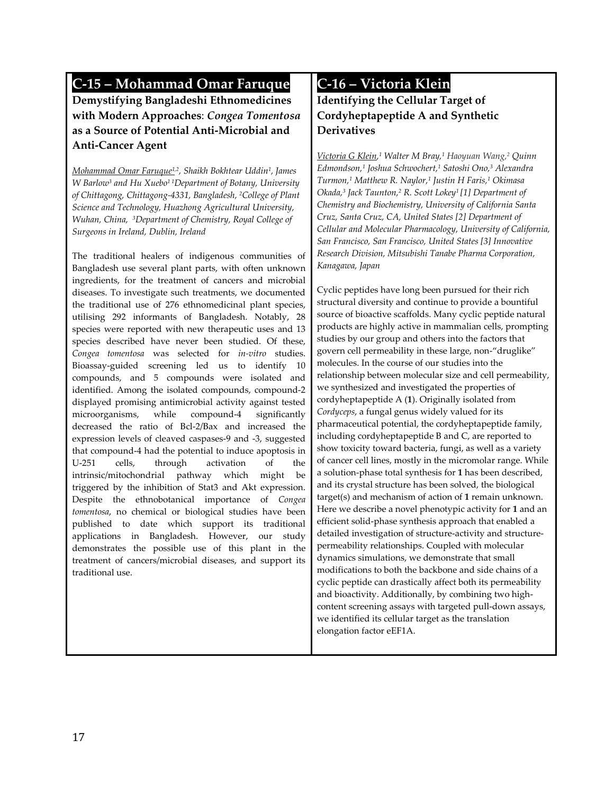### **C-15 – Mohammad Omar Faruque**

**Demystifying Bangladeshi Ethnomedicines with Modern Approaches**: *Congea Tomentosa* **as a Source of Potential Anti-Microbial and Anti-Cancer Agent**

*Mohammad Omar Faruque1,2, Shaikh Bokhtear Uddin1, James W Barlow3 and Hu Xuebo1 1Department of Botany, University of Chittagong, Chittagong-4331, Bangladesh, 2College of Plant Science and Technology, Huazhong Agricultural University, Wuhan, China, 3Department of Chemistry, Royal College of Surgeons in Ireland, Dublin, Ireland*

The traditional healers of indigenous communities of Bangladesh use several plant parts, with often unknown ingredients, for the treatment of cancers and microbial diseases. To investigate such treatments, we documented the traditional use of 276 ethnomedicinal plant species, utilising 292 informants of Bangladesh. Notably, 28 species were reported with new therapeutic uses and 13 species described have never been studied. Of these, *Congea tomentosa* was selected for *in-vitro* studies. Bioassay-guided screening led us to identify 10 compounds, and 5 compounds were isolated and identified. Among the isolated compounds, compound-2 displayed promising antimicrobial activity against tested microorganisms, while compound-4 significantly decreased the ratio of Bcl-2/Bax and increased the expression levels of cleaved caspases-9 and -3, suggested that compound-4 had the potential to induce apoptosis in U-251 cells, through activation of the intrinsic/mitochondrial pathway which might be triggered by the inhibition of Stat3 and Akt expression. Despite the ethnobotanical importance of *Congea tomentosa*, no chemical or biological studies have been published to date which support its traditional applications in Bangladesh. However, our study demonstrates the possible use of this plant in the treatment of cancers/microbial diseases, and support its traditional use.

#### **C-16 – Victoria Klein**

#### **Identifying the Cellular Target of Cordyheptapeptide A and Synthetic Derivatives**

*Victoria G Klein, <sup>1</sup> Walter M Bray,1 Haoyuan Wang,2 Quinn Edmondson,1 Joshua Schwochert,1 Satoshi Ono,3 Alexandra Turmon,1 Matthew R. Naylor,1 Justin H Faris,1 Okimasa Okada,3 Jack Taunton,2 R. Scott Lokey1 [1] Department of Chemistry and Biochemistry, University of California Santa Cruz, Santa Cruz, CA, United States [2] Department of Cellular and Molecular Pharmacology, University of California, San Francisco, San Francisco, United States [3] Innovative Research Division, Mitsubishi Tanabe Pharma Corporation, Kanagawa, Japan*

Cyclic peptides have long been pursued for their rich structural diversity and continue to provide a bountiful source of bioactive scaffolds. Many cyclic peptide natural products are highly active in mammalian cells, prompting studies by our group and others into the factors that govern cell permeability in these large, non-"druglike" molecules. In the course of our studies into the relationship between molecular size and cell permeability, we synthesized and investigated the properties of cordyheptapeptide A (**1**). Originally isolated from *Cordyceps*, a fungal genus widely valued for its pharmaceutical potential, the cordyheptapeptide family, including cordyheptapeptide B and C, are reported to show toxicity toward bacteria, fungi, as well as a variety of cancer cell lines, mostly in the micromolar range. While a solution-phase total synthesis for **1** has been described, and its crystal structure has been solved, the biological target(s) and mechanism of action of **1** remain unknown. Here we describe a novel phenotypic activity for **1** and an efficient solid-phase synthesis approach that enabled a detailed investigation of structure-activity and structurepermeability relationships. Coupled with molecular dynamics simulations, we demonstrate that small modifications to both the backbone and side chains of a cyclic peptide can drastically affect both its permeability and bioactivity. Additionally, by combining two highcontent screening assays with targeted pull-down assays, we identified its cellular target as the translation elongation factor eEF1A.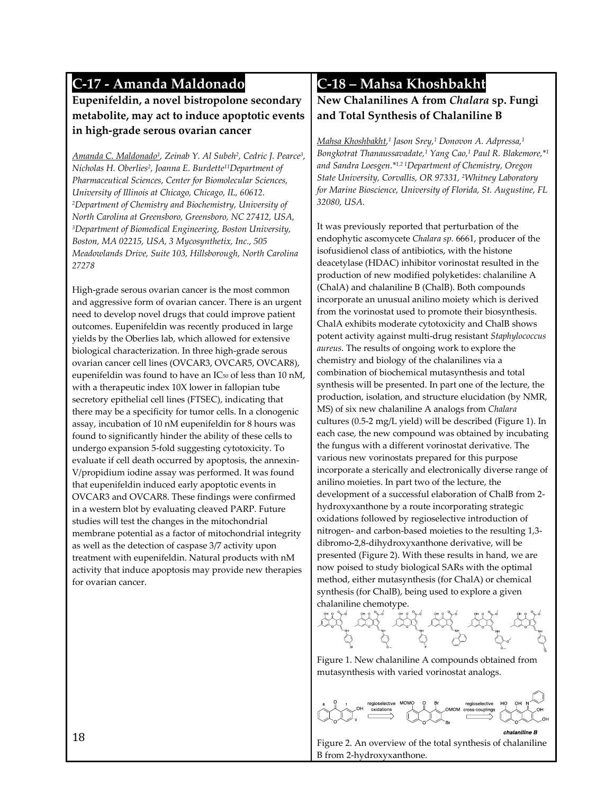### **C-17 - Amanda Maldonado**

#### **Eupenifeldin, a novel bistropolone secondary metabolite, may act to induce apoptotic events in high-grade serous ovarian cancer**

*Amanda C. Maldonado1, Zeinab Y. Al Subeh2, Cedric J. Pearce3, Nicholas H. Oberlies2, Joanna E. Burdette11Department of Pharmaceutical Sciences, Center for Biomolecular Sciences, University of Illinois at Chicago, Chicago, IL, 60612. 2Department of Chemistry and Biochemistry, University of North Carolina at Greensboro, Greensboro, NC 27412, USA, 3Department of Biomedical Engineering, Boston University, Boston, MA 02215, USA, 3 Mycosynthetix, Inc., 505 Meadowlands Drive, Suite 103, Hillsborough, North Carolina 27278*

High-grade serous ovarian cancer is the most common and aggressive form of ovarian cancer. There is an urgent need to develop novel drugs that could improve patient outcomes. Eupenifeldin was recently produced in large yields by the Oberlies lab, which allowed for extensive biological characterization. In three high-grade serous ovarian cancer cell lines (OVCAR3, OVCAR5, OVCAR8), eupenifeldin was found to have an IC<sub>50</sub> of less than 10 nM, with a therapeutic index 10X lower in fallopian tube secretory epithelial cell lines (FTSEC), indicating that there may be a specificity for tumor cells. In a clonogenic assay, incubation of 10 nM eupenifeldin for 8 hours was found to significantly hinder the ability of these cells to undergo expansion 5-fold suggesting cytotoxicity. To evaluate if cell death occurred by apoptosis, the annexin-V/propidium iodine assay was performed. It was found that eupenifeldin induced early apoptotic events in OVCAR3 and OVCAR8. These findings were confirmed in a western blot by evaluating cleaved PARP. Future studies will test the changes in the mitochondrial membrane potential as a factor of mitochondrial integrity as well as the detection of caspase 3/7 activity upon treatment with eupenifeldin. Natural products with nM activity that induce apoptosis may provide new therapies for ovarian cancer.

#### **C-18 – Mahsa Khoshbakht**

#### **New Chalanilines A from** *Chalara* **sp. Fungi and Total Synthesis of Chalaniline B**

*Mahsa Khoshbakht, <sup>1</sup> Jason Srey,1 Donovon A. Adpressa,1 Bongkotrat Thanaussavadate,1 Yang Cao,1 Paul R. Blakemore,\*1 and Sandra Loesgen.\*1,2 1Department of Chemistry, Oregon State University, Corvallis, OR 97331, 2Whitney Laboratory for Marine Bioscience, University of Florida, St. Augustine, FL 32080, USA.*

It was previously reported that perturbation of the endophytic ascomycete *Chalara sp.* 6661, producer of the isofusidienol class of antibiotics, with the histone deacetylase (HDAC) inhibitor vorinostat resulted in the production of new modified polyketides: chalaniline A (ChalA) and chalaniline B (ChalB). Both compounds incorporate an unusual anilino moiety which is derived from the vorinostat used to promote their biosynthesis. ChalA exhibits moderate cytotoxicity and ChalB shows potent activity against multi-drug resistant *Staphylococcus aureus*. The results of ongoing work to explore the chemistry and biology of the chalanilines via a combination of biochemical mutasynthesis and total synthesis will be presented. In part one of the lecture, the production, isolation, and structure elucidation (by NMR, MS) of six new chalaniline A analogs from *Chalara* cultures (0.5-2 mg/L yield) will be described (Figure 1). In each case, the new compound was obtained by incubating the fungus with a different vorinostat derivative. The various new vorinostats prepared for this purpose incorporate a sterically and electronically diverse range of anilino moieties. In part two of the lecture, the development of a successful elaboration of ChalB from 2 hydroxyxanthone by a route incorporating strategic oxidations followed by regioselective introduction of nitrogen- and carbon-based moieties to the resulting 1,3 dibromo-2,8-dihydroxyxanthone derivative, will be presented (Figure 2). With these results in hand, we are now poised to study biological SARs with the optimal method, either mutasynthesis (for ChalA) or chemical synthesis (for ChalB), being used to explore a given chalaniline chemotype.



Figure 1. New chalaniline A compounds obtained from mutasynthesis with varied vorinostat analogs.

egioselective oss-couplings

Figure 2. An overview of the total synthesis of chalaniline B from 2-hydroxyxanthone.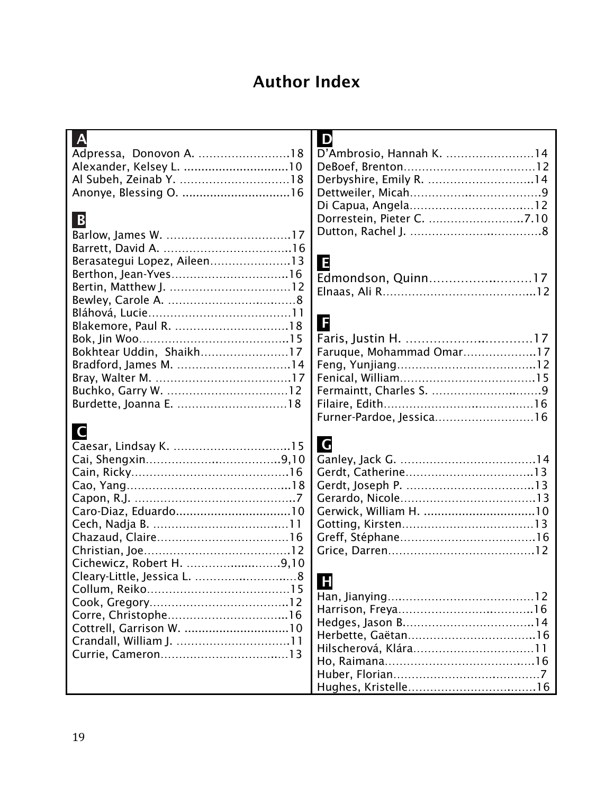# Author Index

| $\blacksquare$<br>$\mathsf{A}$                       |  |
|------------------------------------------------------|--|
| D'Ambrosio, Hannah K. 14                             |  |
|                                                      |  |
| Derbyshire, Emily R. 14                              |  |
|                                                      |  |
|                                                      |  |
| Dorrestein, Pieter C. 7.10<br>B                      |  |
|                                                      |  |
|                                                      |  |
| Berasategui Lopez, Aileen13                          |  |
| E                                                    |  |
| Edmondson, Quinn17                                   |  |
|                                                      |  |
|                                                      |  |
| G                                                    |  |
|                                                      |  |
| Bokhtear Uddin, Shaikh17<br>Faruque, Mohammad Omar17 |  |
| Bradford, James M. 14                                |  |
|                                                      |  |
|                                                      |  |
|                                                      |  |
| Furner-Pardoe, Jessica16                             |  |
|                                                      |  |
| $\mathsf{C}$<br><b>G</b>                             |  |
|                                                      |  |
|                                                      |  |
|                                                      |  |
|                                                      |  |
|                                                      |  |
|                                                      |  |
|                                                      |  |
|                                                      |  |
|                                                      |  |
| Cichewicz, Robert H. 9,10                            |  |
| $\mathbf{F}$                                         |  |
|                                                      |  |
|                                                      |  |
| Corre, Christophe16                                  |  |
| Cottrell, Garrison W. 10                             |  |
|                                                      |  |
|                                                      |  |
|                                                      |  |
|                                                      |  |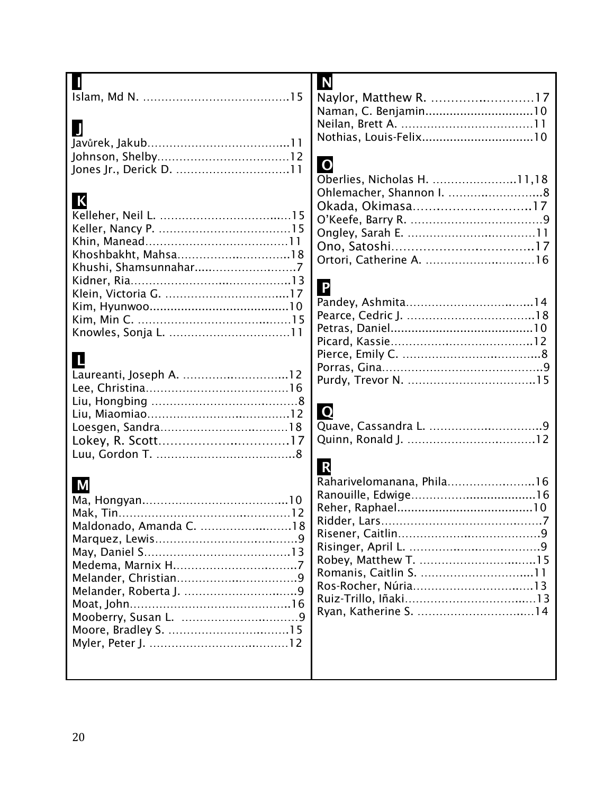|                         | N                           |
|-------------------------|-----------------------------|
|                         | Naylor, Matthew R. 17       |
|                         | Naman, C. Benjamin10        |
|                         |                             |
|                         |                             |
|                         |                             |
|                         | $\overline{O}$              |
|                         | Oberlies, Nicholas H. 11,18 |
|                         |                             |
| K                       |                             |
|                         | Okada, Okimasa17            |
|                         |                             |
|                         |                             |
| Khoshbakht, Mahsa18     |                             |
|                         | Ortori, Catherine A. 16     |
|                         |                             |
|                         | P                           |
|                         |                             |
|                         |                             |
|                         |                             |
|                         |                             |
| $\mathsf{L}$            |                             |
| Laureanti, Joseph A. 12 |                             |
|                         |                             |
|                         |                             |
|                         | Q                           |
|                         |                             |
|                         |                             |
|                         |                             |
|                         | R                           |
| M                       | Raharivelomanana, Phila16   |
|                         |                             |
|                         |                             |
| Maldonado, Amanda C. 18 |                             |
|                         |                             |
|                         |                             |
|                         |                             |
|                         |                             |
|                         |                             |
|                         |                             |
|                         | Ryan, Katherine S. 14       |
|                         |                             |
|                         |                             |
|                         |                             |
|                         |                             |
|                         |                             |